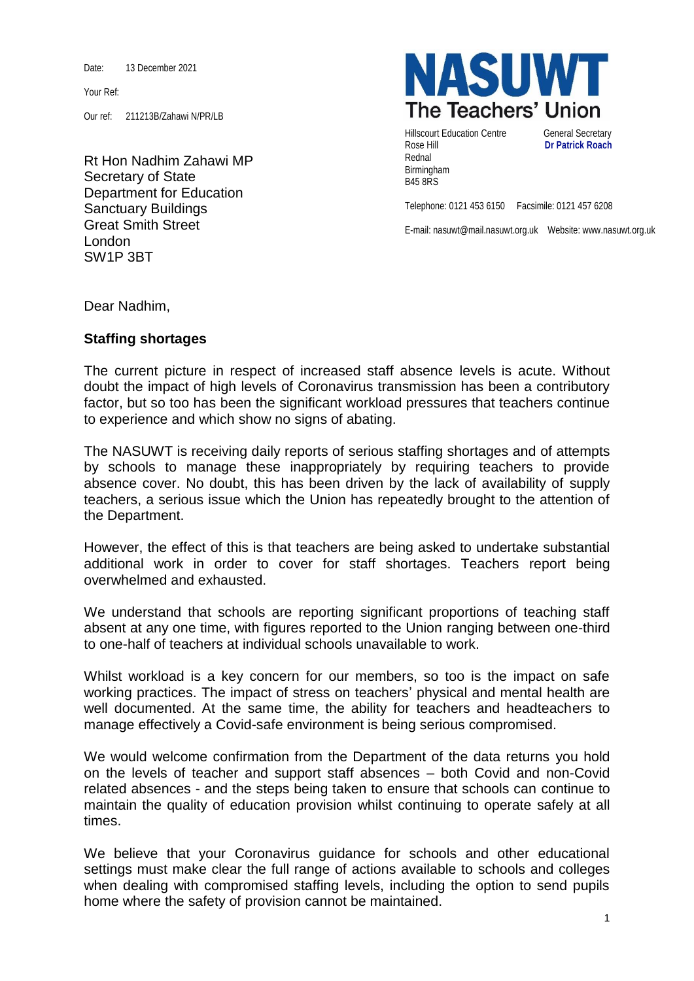Date: 13 December 2021

Your Ref:

Our ref: 211213B/Zahawi N/PR/LB

Rt Hon Nadhim Zahawi MP Secretary of State Department for Education Sanctuary Buildings Great Smith Street London SW1P 3BT



Hillscourt Education Centre **General Secretary** Rose Hill **Dr Patrick Roach** Rednal Birmingham B45 8RS

Telephone: 0121 453 6150 Facsimile: 0121 457 6208

E-mail: nasuwt@mail.nasuwt.org.uk Website: www.nasuwt.org.uk

Dear Nadhim,

## **Staffing shortages**

The current picture in respect of increased staff absence levels is acute. Without doubt the impact of high levels of Coronavirus transmission has been a contributory factor, but so too has been the significant workload pressures that teachers continue to experience and which show no signs of abating.

The NASUWT is receiving daily reports of serious staffing shortages and of attempts by schools to manage these inappropriately by requiring teachers to provide absence cover. No doubt, this has been driven by the lack of availability of supply teachers, a serious issue which the Union has repeatedly brought to the attention of the Department.

However, the effect of this is that teachers are being asked to undertake substantial additional work in order to cover for staff shortages. Teachers report being overwhelmed and exhausted.

We understand that schools are reporting significant proportions of teaching staff absent at any one time, with figures reported to the Union ranging between one-third to one-half of teachers at individual schools unavailable to work.

Whilst workload is a key concern for our members, so too is the impact on safe working practices. The impact of stress on teachers' physical and mental health are well documented. At the same time, the ability for teachers and headteachers to manage effectively a Covid-safe environment is being serious compromised.

We would welcome confirmation from the Department of the data returns you hold on the levels of teacher and support staff absences – both Covid and non-Covid related absences - and the steps being taken to ensure that schools can continue to maintain the quality of education provision whilst continuing to operate safely at all times.

We believe that your Coronavirus guidance for schools and other educational settings must make clear the full range of actions available to schools and colleges when dealing with compromised staffing levels, including the option to send pupils home where the safety of provision cannot be maintained.